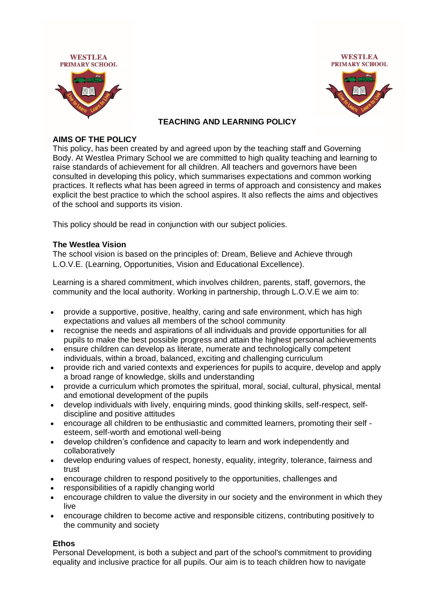



### **TEACHING AND LEARNING POLICY**

#### **AIMS OF THE POLICY**

This policy, has been created by and agreed upon by the teaching staff and Governing Body. At Westlea Primary School we are committed to high quality teaching and learning to raise standards of achievement for all children. All teachers and governors have been consulted in developing this policy, which summarises expectations and common working practices. It reflects what has been agreed in terms of approach and consistency and makes explicit the best practice to which the school aspires. It also reflects the aims and objectives of the school and supports its vision.

This policy should be read in conjunction with our subject policies.

#### **The Westlea Vision**

The school vision is based on the principles of: Dream, Believe and Achieve through L.O.V.E. (Learning, Opportunities, Vision and Educational Excellence).

Learning is a shared commitment, which involves children, parents, staff, governors, the community and the local authority. Working in partnership, through L.O.V.E we aim to:

- provide a supportive, positive, healthy, caring and safe environment, which has high expectations and values all members of the school community
- recognise the needs and aspirations of all individuals and provide opportunities for all pupils to make the best possible progress and attain the highest personal achievements
- ensure children can develop as literate, numerate and technologically competent individuals, within a broad, balanced, exciting and challenging curriculum
- provide rich and varied contexts and experiences for pupils to acquire, develop and apply a broad range of knowledge, skills and understanding
- provide a curriculum which promotes the spiritual, moral, social, cultural, physical, mental and emotional development of the pupils
- develop individuals with lively, enquiring minds, good thinking skills, self-respect, selfdiscipline and positive attitudes
- encourage all children to be enthusiastic and committed learners, promoting their self esteem, self-worth and emotional well-being
- develop children's confidence and capacity to learn and work independently and collaboratively
- develop enduring values of respect, honesty, equality, integrity, tolerance, fairness and trust
- encourage children to respond positively to the opportunities, challenges and
- responsibilities of a rapidly changing world
- encourage children to value the diversity in our society and the environment in which they live
- encourage children to become active and responsible citizens, contributing positively to the community and society

### **Ethos**

Personal Development, is both a subject and part of the school's commitment to providing equality and inclusive practice for all pupils. Our aim is to teach children how to navigate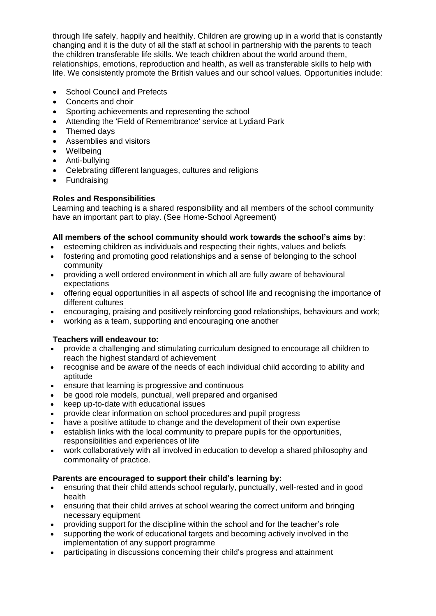through life safely, happily and healthily. Children are growing up in a world that is constantly changing and it is the duty of all the staff at school in partnership with the parents to teach the children transferable life skills. We teach children about the world around them, relationships, emotions, reproduction and health, as well as transferable skills to help with life. We consistently promote the British values and our school values. Opportunities include:

- School Council and Prefects
- Concerts and choir
- Sporting achievements and representing the school
- Attending the 'Field of Remembrance' service at Lydiard Park
- Themed days
- Assemblies and visitors
- Wellbeing
- Anti-bullying
- Celebrating different languages, cultures and religions
- Fundraising

# **Roles and Responsibilities**

Learning and teaching is a shared responsibility and all members of the school community have an important part to play. (See Home-School Agreement)

# **All members of the school community should work towards the school's aims by**:

- esteeming children as individuals and respecting their rights, values and beliefs
- fostering and promoting good relationships and a sense of belonging to the school community
- providing a well ordered environment in which all are fully aware of behavioural expectations
- offering equal opportunities in all aspects of school life and recognising the importance of different cultures
- encouraging, praising and positively reinforcing good relationships, behaviours and work;
- working as a team, supporting and encouraging one another

# **Teachers will endeavour to:**

- provide a challenging and stimulating curriculum designed to encourage all children to reach the highest standard of achievement
- recognise and be aware of the needs of each individual child according to ability and aptitude
- ensure that learning is progressive and continuous
- be good role models, punctual, well prepared and organised
- keep up-to-date with educational issues
- provide clear information on school procedures and pupil progress
- have a positive attitude to change and the development of their own expertise
- establish links with the local community to prepare pupils for the opportunities, responsibilities and experiences of life
- work collaboratively with all involved in education to develop a shared philosophy and commonality of practice.

# **Parents are encouraged to support their child's learning by:**

- ensuring that their child attends school regularly, punctually, well-rested and in good health
- ensuring that their child arrives at school wearing the correct uniform and bringing necessary equipment
- providing support for the discipline within the school and for the teacher's role
- supporting the work of educational targets and becoming actively involved in the implementation of any support programme
- participating in discussions concerning their child's progress and attainment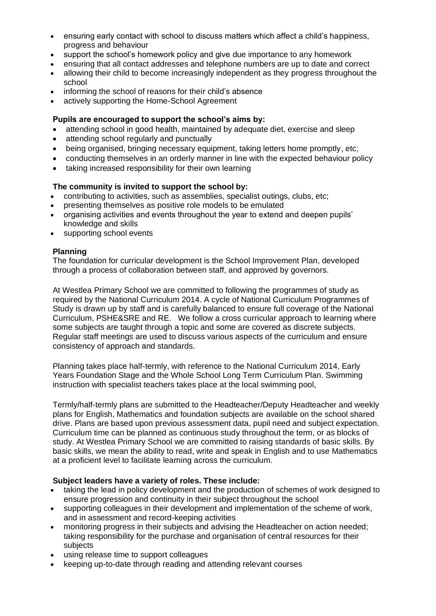- ensuring early contact with school to discuss matters which affect a child's happiness, progress and behaviour
- support the school's homework policy and give due importance to any homework
- ensuring that all contact addresses and telephone numbers are up to date and correct
- allowing their child to become increasingly independent as they progress throughout the school
- informing the school of reasons for their child's absence
- actively supporting the Home-School Agreement

### **Pupils are encouraged to support the school's aims by:**

- attending school in good health, maintained by adequate diet, exercise and sleep
- attending school regularly and punctually
- being organised, bringing necessary equipment, taking letters home promptly, etc;
- conducting themselves in an orderly manner in line with the expected behaviour policy
- taking increased responsibility for their own learning

### **The community is invited to support the school by:**

- contributing to activities, such as assemblies, specialist outings, clubs, etc;
- presenting themselves as positive role models to be emulated
- organising activities and events throughout the year to extend and deepen pupils' knowledge and skills
- supporting school events

### **Planning**

The foundation for curricular development is the School Improvement Plan, developed through a process of collaboration between staff, and approved by governors.

At Westlea Primary School we are committed to following the programmes of study as required by the National Curriculum 2014. A cycle of National Curriculum Programmes of Study is drawn up by staff and is carefully balanced to ensure full coverage of the National Curriculum, PSHE&SRE and RE. We follow a cross curricular approach to learning where some subjects are taught through a topic and some are covered as discrete subjects. Regular staff meetings are used to discuss various aspects of the curriculum and ensure consistency of approach and standards.

Planning takes place half-termly, with reference to the National Curriculum 2014, Early Years Foundation Stage and the Whole School Long Term Curriculum Plan. Swimming instruction with specialist teachers takes place at the local swimming pool,

Termly/half-termly plans are submitted to the Headteacher/Deputy Headteacher and weekly plans for English, Mathematics and foundation subjects are available on the school shared drive. Plans are based upon previous assessment data, pupil need and subject expectation. Curriculum time can be planned as continuous study throughout the term, or as blocks of study. At Westlea Primary School we are committed to raising standards of basic skills. By basic skills, we mean the ability to read, write and speak in English and to use Mathematics at a proficient level to facilitate learning across the curriculum.

# **Subject leaders have a variety of roles. These include:**

- taking the lead in policy development and the production of schemes of work designed to ensure progression and continuity in their subject throughout the school
- supporting colleagues in their development and implementation of the scheme of work, and in assessment and record-keeping activities
- monitoring progress in their subjects and advising the Headteacher on action needed; taking responsibility for the purchase and organisation of central resources for their subjects
- using release time to support colleagues
- keeping up-to-date through reading and attending relevant courses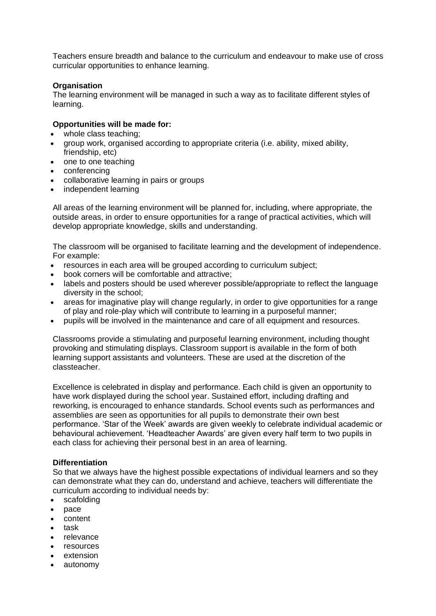Teachers ensure breadth and balance to the curriculum and endeavour to make use of cross curricular opportunities to enhance learning.

### **Organisation**

The learning environment will be managed in such a way as to facilitate different styles of learning.

#### **Opportunities will be made for:**

- whole class teaching:
- group work, organised according to appropriate criteria (i.e. ability, mixed ability, friendship, etc)
- one to one teaching
- conferencing
- collaborative learning in pairs or groups
- independent learning

All areas of the learning environment will be planned for, including, where appropriate, the outside areas, in order to ensure opportunities for a range of practical activities, which will develop appropriate knowledge, skills and understanding.

The classroom will be organised to facilitate learning and the development of independence. For example:

- resources in each area will be grouped according to curriculum subject;
- book corners will be comfortable and attractive;
- labels and posters should be used wherever possible/appropriate to reflect the language diversity in the school;
- areas for imaginative play will change regularly, in order to give opportunities for a range of play and role-play which will contribute to learning in a purposeful manner;
- pupils will be involved in the maintenance and care of all equipment and resources.

Classrooms provide a stimulating and purposeful learning environment, including thought provoking and stimulating displays. Classroom support is available in the form of both learning support assistants and volunteers. These are used at the discretion of the classteacher.

Excellence is celebrated in display and performance. Each child is given an opportunity to have work displayed during the school year. Sustained effort, including drafting and reworking, is encouraged to enhance standards. School events such as performances and assemblies are seen as opportunities for all pupils to demonstrate their own best performance. 'Star of the Week' awards are given weekly to celebrate individual academic or behavioural achievement. 'Headteacher Awards' are given every half term to two pupils in each class for achieving their personal best in an area of learning.

### **Differentiation**

So that we always have the highest possible expectations of individual learners and so they can demonstrate what they can do, understand and achieve, teachers will differentiate the curriculum according to individual needs by:

- scafolding
- pace
- content
- task
- relevance
- resources
- extension
- autonomy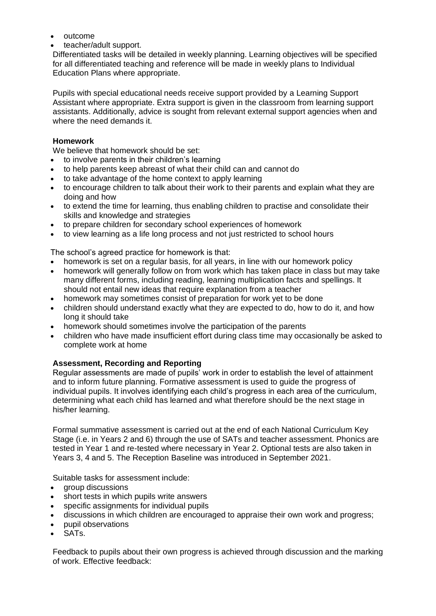- outcome
- teacher/adult support.

Differentiated tasks will be detailed in weekly planning. Learning objectives will be specified for all differentiated teaching and reference will be made in weekly plans to Individual Education Plans where appropriate.

Pupils with special educational needs receive support provided by a Learning Support Assistant where appropriate. Extra support is given in the classroom from learning support assistants. Additionally, advice is sought from relevant external support agencies when and where the need demands it.

### **Homework**

We believe that homework should be set:

- to involve parents in their children's learning
- to help parents keep abreast of what their child can and cannot do
- to take advantage of the home context to apply learning
- to encourage children to talk about their work to their parents and explain what they are doing and how
- to extend the time for learning, thus enabling children to practise and consolidate their skills and knowledge and strategies
- to prepare children for secondary school experiences of homework
- to view learning as a life long process and not just restricted to school hours

The school's agreed practice for homework is that:

- homework is set on a regular basis, for all years, in line with our homework policy
- homework will generally follow on from work which has taken place in class but may take many different forms, including reading, learning multiplication facts and spellings. It should not entail new ideas that require explanation from a teacher
- homework may sometimes consist of preparation for work yet to be done
- children should understand exactly what they are expected to do, how to do it, and how long it should take
- homework should sometimes involve the participation of the parents
- children who have made insufficient effort during class time may occasionally be asked to complete work at home

### **Assessment, Recording and Reporting**

Regular assessments are made of pupils' work in order to establish the level of attainment and to inform future planning. Formative assessment is used to guide the progress of individual pupils. It involves identifying each child's progress in each area of the curriculum, determining what each child has learned and what therefore should be the next stage in his/her learning.

Formal summative assessment is carried out at the end of each National Curriculum Key Stage (i.e. in Years 2 and 6) through the use of SATs and teacher assessment. Phonics are tested in Year 1 and re-tested where necessary in Year 2. Optional tests are also taken in Years 3, 4 and 5. The Reception Baseline was introduced in September 2021.

Suitable tasks for assessment include:

- group discussions
- short tests in which pupils write answers
- specific assignments for individual pupils
- discussions in which children are encouraged to appraise their own work and progress;
- pupil observations
- SAT<sub>s</sub>

Feedback to pupils about their own progress is achieved through discussion and the marking of work. Effective feedback: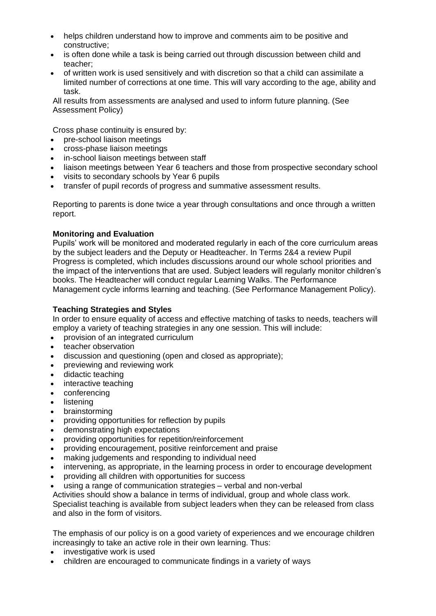- helps children understand how to improve and comments aim to be positive and constructive;
- is often done while a task is being carried out through discussion between child and teacher;
- of written work is used sensitively and with discretion so that a child can assimilate a limited number of corrections at one time. This will vary according to the age, ability and task.

All results from assessments are analysed and used to inform future planning. (See Assessment Policy)

Cross phase continuity is ensured by:

- pre-school liaison meetings
- cross-phase liaison meetings
- in-school liaison meetings between staff
- liaison meetings between Year 6 teachers and those from prospective secondary school
- visits to secondary schools by Year 6 pupils
- transfer of pupil records of progress and summative assessment results.

Reporting to parents is done twice a year through consultations and once through a written report.

### **Monitoring and Evaluation**

Pupils' work will be monitored and moderated regularly in each of the core curriculum areas by the subject leaders and the Deputy or Headteacher. In Terms 2&4 a review Pupil Progress is completed, which includes discussions around our whole school priorities and the impact of the interventions that are used. Subject leaders will regularly monitor children's books. The Headteacher will conduct regular Learning Walks. The Performance Management cycle informs learning and teaching. (See Performance Management Policy).

# **Teaching Strategies and Styles**

In order to ensure equality of access and effective matching of tasks to needs, teachers will employ a variety of teaching strategies in any one session. This will include:

- provision of an integrated curriculum
- teacher observation
- discussion and questioning (open and closed as appropriate);
- previewing and reviewing work
- didactic teaching
- interactive teaching
- conferencing
- **listening**
- brainstorming
- providing opportunities for reflection by pupils
- demonstrating high expectations
- providing opportunities for repetition/reinforcement
- providing encouragement, positive reinforcement and praise
- making judgements and responding to individual need
- intervening, as appropriate, in the learning process in order to encourage development
- providing all children with opportunities for success
- using a range of communication strategies verbal and non-verbal

Activities should show a balance in terms of individual, group and whole class work.

Specialist teaching is available from subject leaders when they can be released from class and also in the form of visitors.

The emphasis of our policy is on a good variety of experiences and we encourage children increasingly to take an active role in their own learning. Thus:

- investigative work is used
- children are encouraged to communicate findings in a variety of ways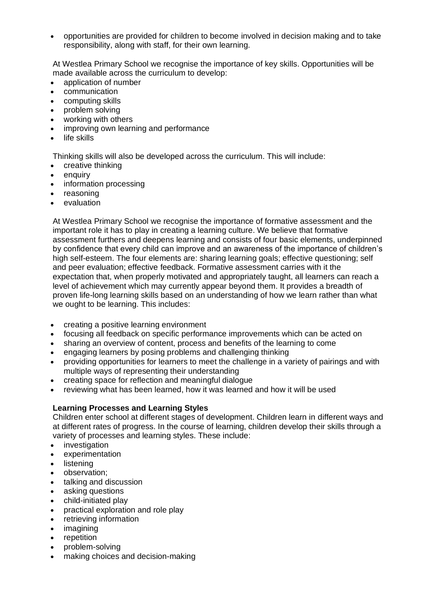• opportunities are provided for children to become involved in decision making and to take responsibility, along with staff, for their own learning.

At Westlea Primary School we recognise the importance of key skills. Opportunities will be made available across the curriculum to develop:

- application of number
- communication
- computing skills
- problem solving
- working with others
- improving own learning and performance
- life skills

Thinking skills will also be developed across the curriculum. This will include:

- creative thinking
- **enquiry**
- information processing
- reasoning
- evaluation

At Westlea Primary School we recognise the importance of formative assessment and the important role it has to play in creating a learning culture. We believe that formative assessment furthers and deepens learning and consists of four basic elements, underpinned by confidence that every child can improve and an awareness of the importance of children's high self-esteem. The four elements are: sharing learning goals; effective questioning; self and peer evaluation; effective feedback. Formative assessment carries with it the expectation that, when properly motivated and appropriately taught, all learners can reach a level of achievement which may currently appear beyond them. It provides a breadth of proven life-long learning skills based on an understanding of how we learn rather than what we ought to be learning. This includes:

- creating a positive learning environment
- focusing all feedback on specific performance improvements which can be acted on
- sharing an overview of content, process and benefits of the learning to come
- engaging learners by posing problems and challenging thinking
- providing opportunities for learners to meet the challenge in a variety of pairings and with multiple ways of representing their understanding
- creating space for reflection and meaningful dialogue
- reviewing what has been learned, how it was learned and how it will be used

### **Learning Processes and Learning Styles**

Children enter school at different stages of development. Children learn in different ways and at different rates of progress. In the course of learning, children develop their skills through a variety of processes and learning styles. These include:

- investigation
- experimentation
- **listening**
- observation;
- talking and discussion
- asking questions
- child-initiated play
- practical exploration and role play
- retrieving information
- imagining
- **repetition**
- problem-solving
- making choices and decision-making